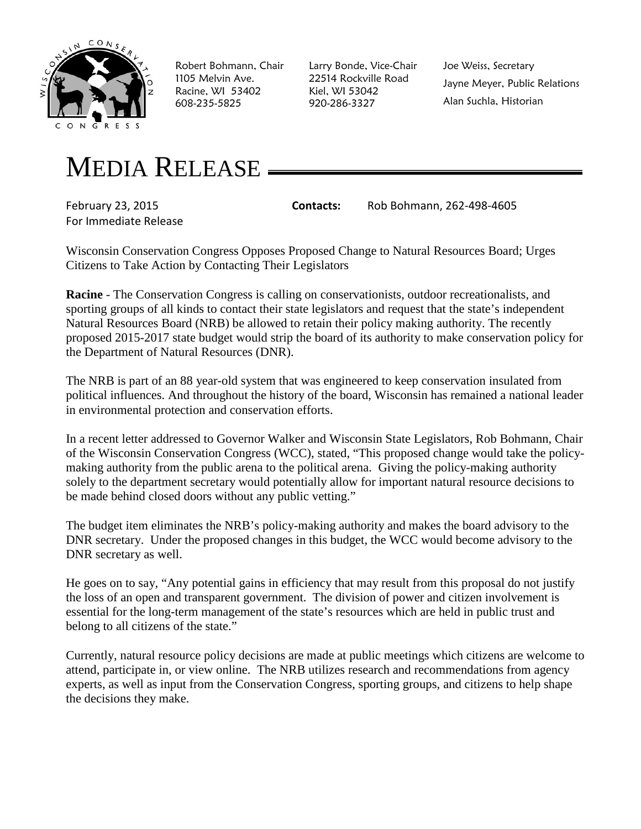

Robert Bohmann, Chair 1105 Melvin Ave. Racine, WI 53402 608-235-5825

Larry Bonde, Vice-Chair 22514 Rockville Road Kiel, WI 53042 920-286-3327

Joe Weiss, Secretary Jayne Meyer, Public Relations Alan Suchla, Historian

## MEDIA RELEASE

For Immediate Release

February 23, 2015 **Contacts:** Rob Bohmann, 262-498-4605

Wisconsin Conservation Congress Opposes Proposed Change to Natural Resources Board; Urges Citizens to Take Action by Contacting Their Legislators

**Racine** - The Conservation Congress is calling on conservationists, outdoor recreationalists, and sporting groups of all kinds to contact their state legislators and request that the state's independent Natural Resources Board (NRB) be allowed to retain their policy making authority. The recently proposed 2015-2017 state budget would strip the board of its authority to make conservation policy for the Department of Natural Resources (DNR).

The NRB is part of an 88 year-old system that was engineered to keep conservation insulated from political influences. And throughout the history of the board, Wisconsin has remained a national leader in environmental protection and conservation efforts.

In a recent letter addressed to Governor Walker and Wisconsin State Legislators, Rob Bohmann, Chair of the Wisconsin Conservation Congress (WCC), stated, "This proposed change would take the policymaking authority from the public arena to the political arena. Giving the policy-making authority solely to the department secretary would potentially allow for important natural resource decisions to be made behind closed doors without any public vetting."

The budget item eliminates the NRB's policy-making authority and makes the board advisory to the DNR secretary. Under the proposed changes in this budget, the WCC would become advisory to the DNR secretary as well.

He goes on to say, "Any potential gains in efficiency that may result from this proposal do not justify the loss of an open and transparent government. The division of power and citizen involvement is essential for the long-term management of the state's resources which are held in public trust and belong to all citizens of the state."

Currently, natural resource policy decisions are made at public meetings which citizens are welcome to attend, participate in, or view online. The NRB utilizes research and recommendations from agency experts, as well as input from the Conservation Congress, sporting groups, and citizens to help shape the decisions they make.